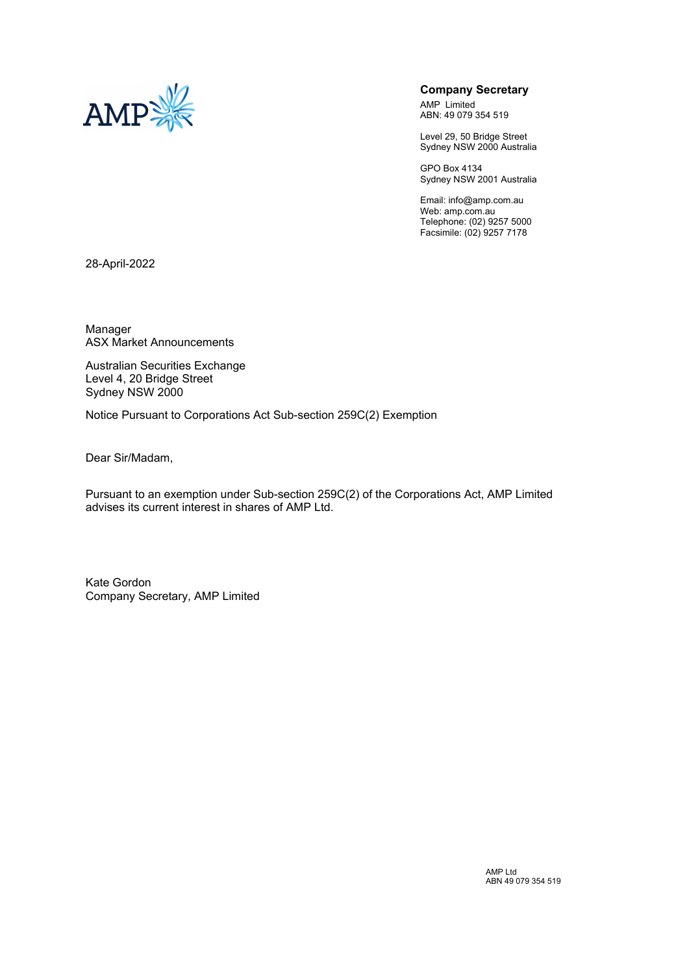

### **Company Secretary**

AMP Limited ABN: 49 079 354 519

Level 29, 50 Bridge Street Sydney NSW 2000 Australia

GPO Box 4134 Sydney NSW 2001 Australia

Email: info@amp.com.au Web: amp.com.au Telephone: (02) 9257 5000 Facsimile: (02) 9257 7178

28-April-2022

Manager ASX Market Announcements

Australian Securities Exchange Level 4, 20 Bridge Street Sydney NSW 2000

Notice Pursuant to Corporations Act Sub-section 259C(2) Exemption

Dear Sir/Madam,

Pursuant to an exemption under Sub-section 259C(2) of the Corporations Act, AMP Limited advises its current interest in shares of AMP Ltd.

Kate Gordon Company Secretary, AMP Limited

> AMP Ltd ABN 49 079 354 519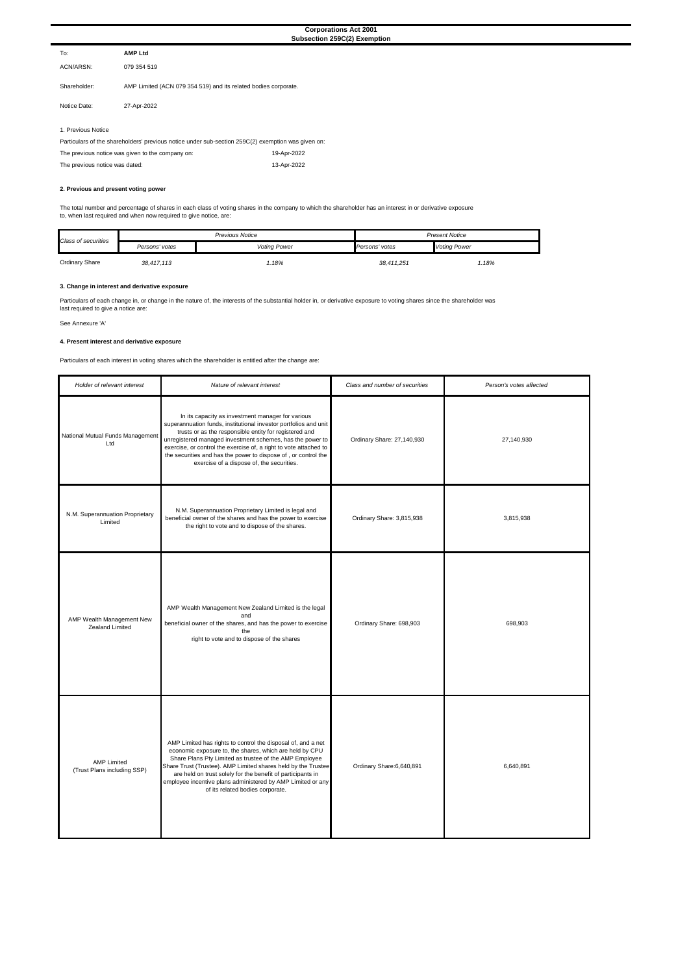#### **3. Change in interest and derivative exposure**

Particulars of each change in, or change in the nature of, the interests of the substantial holder in, or derivative exposure to voting shares since the shareholder was last required to give a notice are:

See Annexure 'A'

| Holder of relevant interest                       | Nature of relevant interest                                                                                                                                                                                                                                                                                                                                                                                                      | Class and number of securities | Person's votes affected |  |
|---------------------------------------------------|----------------------------------------------------------------------------------------------------------------------------------------------------------------------------------------------------------------------------------------------------------------------------------------------------------------------------------------------------------------------------------------------------------------------------------|--------------------------------|-------------------------|--|
| National Mutual Funds Management<br>Ltd           | In its capacity as investment manager for various<br>superannuation funds, institutional investor portfolios and unit<br>trusts or as the responsible entity for registered and<br>unregistered managed investment schemes, has the power to<br>exercise, or control the exercise of, a right to vote attached to<br>the securities and has the power to dispose of, or control the<br>exercise of a dispose of, the securities. | Ordinary Share: 27,140,930     | 27,140,930              |  |
| N.M. Superannuation Proprietary<br>Limited        | N.M. Superannuation Proprietary Limited is legal and<br>beneficial owner of the shares and has the power to exercise<br>the right to vote and to dispose of the shares.                                                                                                                                                                                                                                                          | Ordinary Share: 3,815,938      | 3,815,938               |  |
| AMP Wealth Management New<br>Zealand Limited      | AMP Wealth Management New Zealand Limited is the legal<br>and<br>beneficial owner of the shares, and has the power to exercise<br>the<br>right to vote and to dispose of the shares                                                                                                                                                                                                                                              | Ordinary Share: 698,903        | 698,903                 |  |
| <b>AMP Limited</b><br>(Trust Plans including SSP) | AMP Limited has rights to control the disposal of, and a net<br>economic exposure to, the shares, which are held by CPU<br>Share Plans Pty Limited as trustee of the AMP Employee<br>Share Trust (Trustee). AMP Limited shares held by the Trustee<br>are held on trust solely for the benefit of participants in<br>employee incentive plans administered by AMP Limited or any<br>of its related bodies corporate.             | Ordinary Share: 6, 640, 891    | 6,640,891               |  |

|                    |                                                                                                    | <b>Corporations Act 2001</b><br>Subsection 259C(2) Exemption |
|--------------------|----------------------------------------------------------------------------------------------------|--------------------------------------------------------------|
| To:                | <b>AMP Ltd</b>                                                                                     |                                                              |
| ACN/ARSN:          | 079 354 519                                                                                        |                                                              |
| Shareholder:       | AMP Limited (ACN 079 354 519) and its related bodies corporate.                                    |                                                              |
| Notice Date:       | 27-Apr-2022                                                                                        |                                                              |
|                    |                                                                                                    |                                                              |
| 1. Previous Notice |                                                                                                    |                                                              |
|                    | Particulars of the shareholders' previous notice under sub-section 259C(2) exemption was given on: |                                                              |
|                    | The previous notice was given to the company on:                                                   | 19-Apr-2022                                                  |

#### **4. Present interest and derivative exposure**

Particulars of each interest in voting shares which the shareholder is entitled after the change are:

| Class of securities | <b>Previous Notice</b> |                     | <b>Present Notice</b> |                     |
|---------------------|------------------------|---------------------|-----------------------|---------------------|
|                     | Persons' votes         | <b>Voting Power</b> | Persons' votes        | <b>Voting Power</b> |
| Ordinary Share      | 38,417,113             | .18%                | 38,411,251            | .18%                |

| The previous notice was dated: | 13-Apr-2022 |
|--------------------------------|-------------|
|                                |             |

#### **2. Previous and present voting power**

The total number and percentage of shares in each class of voting shares in the company to which the shareholder has an interest in or derivative exposure to, when last required and when now required to give notice, are: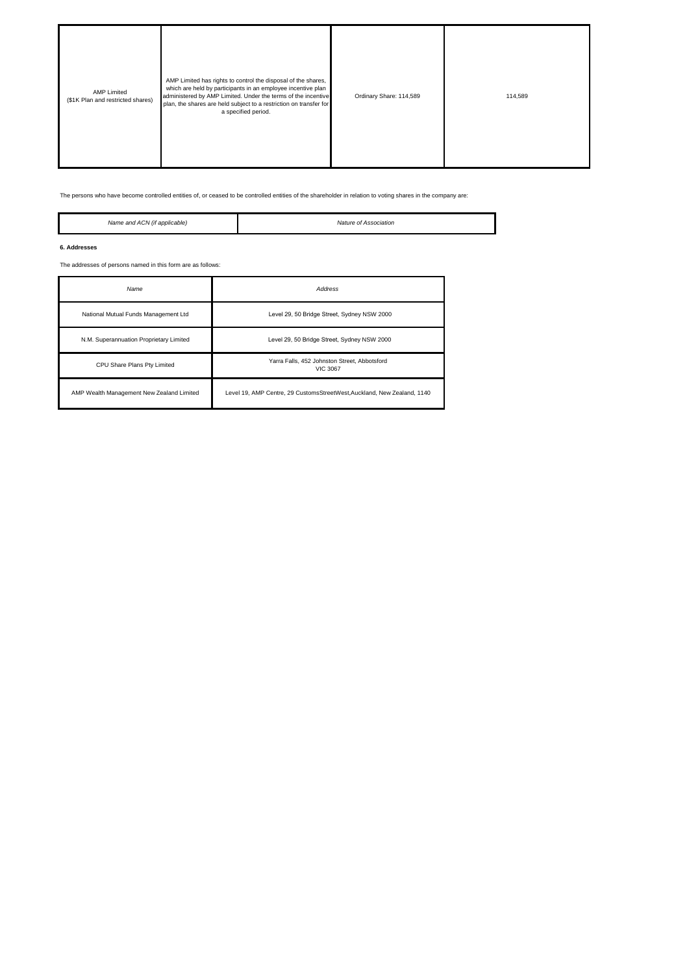| <b>AMP Limited</b><br>(\$1K Plan and restricted shares) | AMP Limited has rights to control the disposal of the shares,<br>which are held by participants in an employee incentive plan<br>administered by AMP Limited. Under the terms of the incentive<br>plan, the shares are held subject to a restriction on transfer for<br>a specified period. | Ordinary Share: 114,589 | 114,589 |
|---------------------------------------------------------|---------------------------------------------------------------------------------------------------------------------------------------------------------------------------------------------------------------------------------------------------------------------------------------------|-------------------------|---------|
|---------------------------------------------------------|---------------------------------------------------------------------------------------------------------------------------------------------------------------------------------------------------------------------------------------------------------------------------------------------|-------------------------|---------|

| Name                                      | Address                                                                 |
|-------------------------------------------|-------------------------------------------------------------------------|
| National Mutual Funds Management Ltd      | Level 29, 50 Bridge Street, Sydney NSW 2000                             |
| N.M. Superannuation Proprietary Limited   | Level 29, 50 Bridge Street, Sydney NSW 2000                             |
| CPU Share Plans Pty Limited               | Yarra Falls, 452 Johnston Street, Abbotsford<br><b>VIC 3067</b>         |
| AMP Wealth Management New Zealand Limited | Level 19, AMP Centre, 29 CustomsStreetWest, Auckland, New Zealand, 1140 |

The persons who have become controlled entities of, or ceased to be controlled entities of the shareholder in relation to voting shares in the company are:

| Name<br>anc<br>`applicable <sub>r</sub><br>.<br>∴M<br>$\Delta t$ | $\overline{\phantom{a}}$<br>ociation |
|------------------------------------------------------------------|--------------------------------------|
|                                                                  |                                      |

#### **6. Addresses**

H

The addresses of persons named in this form are as follows: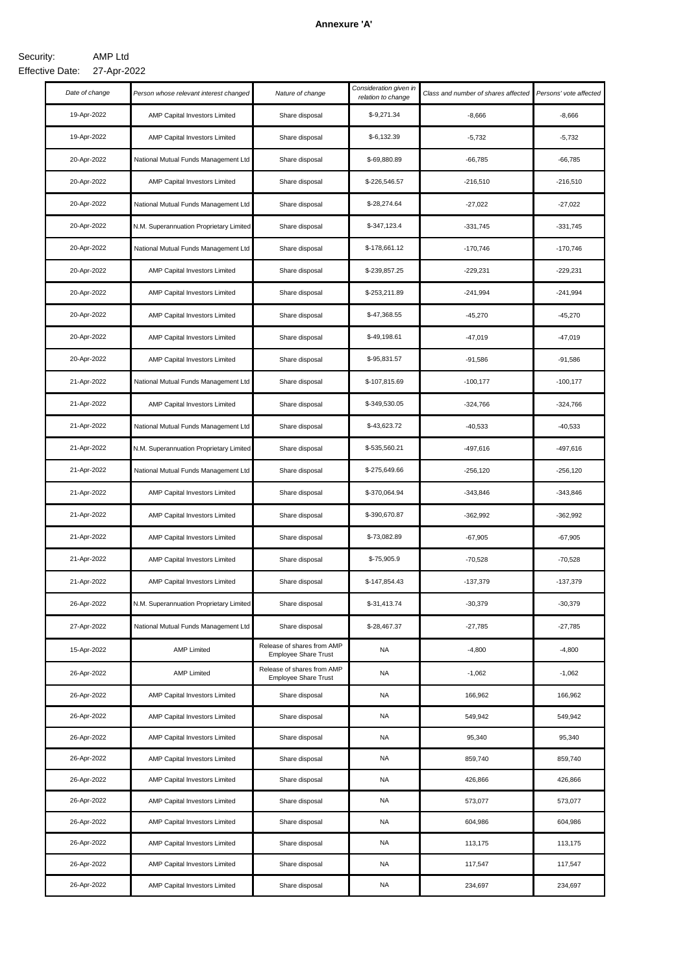## **Annexure 'A'**

#### AMP Ltd 27-Apr-2022 Effective Date:Security:

| Date of change | Person whose relevant interest changed  | Nature of change                                          | Consideration given in<br>relation to change | Class and number of shares affected | Persons' vote affected |
|----------------|-----------------------------------------|-----------------------------------------------------------|----------------------------------------------|-------------------------------------|------------------------|
| 19-Apr-2022    | AMP Capital Investors Limited           | Share disposal                                            | $$-9,271.34$                                 | $-8,666$                            | $-8,666$               |
| 19-Apr-2022    | AMP Capital Investors Limited           | Share disposal                                            | $$-6,132.39$                                 | $-5,732$                            | $-5,732$               |
| 20-Apr-2022    | National Mutual Funds Management Ltd    | Share disposal                                            | \$-69,880.89                                 | $-66,785$                           | $-66,785$              |
| 20-Apr-2022    | <b>AMP Capital Investors Limited</b>    | Share disposal                                            | \$-226,546.57                                | $-216,510$                          | $-216,510$             |
| 20-Apr-2022    | National Mutual Funds Management Ltd    | Share disposal                                            | \$-28,274.64                                 | $-27,022$                           | $-27,022$              |
| 20-Apr-2022    | N.M. Superannuation Proprietary Limited | Share disposal                                            | $$-347,123.4$                                | $-331,745$                          | $-331,745$             |
| 20-Apr-2022    | National Mutual Funds Management Ltd    | Share disposal                                            | \$-178,661.12                                | $-170,746$                          | $-170,746$             |
| 20-Apr-2022    | AMP Capital Investors Limited           | Share disposal                                            | \$-239,857.25                                | $-229,231$                          | $-229,231$             |
| 20-Apr-2022    | AMP Capital Investors Limited           | Share disposal                                            | \$-253,211.89                                | $-241,994$                          | $-241,994$             |
| 20-Apr-2022    | AMP Capital Investors Limited           | Share disposal                                            | \$-47,368.55                                 | $-45,270$                           | $-45,270$              |
| 20-Apr-2022    | <b>AMP Capital Investors Limited</b>    | Share disposal                                            | \$-49,198.61                                 | $-47,019$                           | $-47,019$              |
| 20-Apr-2022    | AMP Capital Investors Limited           | Share disposal                                            | \$-95,831.57                                 | $-91,586$                           | $-91,586$              |
| 21-Apr-2022    | National Mutual Funds Management Ltd    | Share disposal                                            | \$-107,815.69                                | $-100, 177$                         | $-100, 177$            |
| 21-Apr-2022    | <b>AMP Capital Investors Limited</b>    | Share disposal                                            | \$-349,530.05                                | $-324,766$                          | $-324,766$             |
| 21-Apr-2022    | National Mutual Funds Management Ltd    | Share disposal                                            | \$-43,623.72                                 | $-40,533$                           | $-40,533$              |
| 21-Apr-2022    | N.M. Superannuation Proprietary Limited | Share disposal                                            | \$-535,560.21                                | -497,616                            | $-497,616$             |
| 21-Apr-2022    | National Mutual Funds Management Ltd    | Share disposal                                            | \$-275,649.66                                | $-256,120$                          | $-256,120$             |
| 21-Apr-2022    | <b>AMP Capital Investors Limited</b>    | Share disposal                                            | \$-370,064.94                                | $-343,846$                          | $-343,846$             |
| 21-Apr-2022    | AMP Capital Investors Limited           | Share disposal                                            | \$-390,670.87                                | $-362,992$                          | $-362,992$             |
| 21-Apr-2022    | AMP Capital Investors Limited           | Share disposal                                            | \$-73,082.89                                 | $-67,905$                           | $-67,905$              |
| 21-Apr-2022    | <b>AMP Capital Investors Limited</b>    | Share disposal                                            | \$-75,905.9                                  | $-70,528$                           | $-70,528$              |
| 21-Apr-2022    | <b>AMP Capital Investors Limited</b>    | Share disposal                                            | \$-147,854.43                                | $-137,379$                          | $-137,379$             |
| 26-Apr-2022    | N.M. Superannuation Proprietary Limited | Share disposal                                            | \$-31,413.74                                 | $-30,379$                           | $-30,379$              |
| 27-Apr-2022    | National Mutual Funds Management Ltd    | Share disposal                                            | \$-28,467.37                                 | $-27,785$                           | $-27,785$              |
| 15-Apr-2022    | <b>AMP Limited</b>                      | Release of shares from AMP<br><b>Employee Share Trust</b> | NA.                                          | $-4,800$                            | $-4,800$               |
| 26-Apr-2022    | <b>AMP Limited</b>                      | Release of shares from AMP<br><b>Employee Share Trust</b> | NA                                           | $-1,062$                            | $-1,062$               |
| 26-Apr-2022    | <b>AMP Capital Investors Limited</b>    | Share disposal                                            | <b>NA</b>                                    | 166,962                             | 166,962                |
| 26-Apr-2022    | <b>AMP Capital Investors Limited</b>    | Share disposal                                            | <b>NA</b>                                    | 549,942                             | 549,942                |
| 26-Apr-2022    | AMP Capital Investors Limited           | Share disposal                                            | <b>NA</b>                                    | 95,340                              | 95,340                 |
| 26-Apr-2022    | <b>AMP Capital Investors Limited</b>    | Share disposal                                            | <b>NA</b>                                    | 859,740                             | 859,740                |
| 26-Apr-2022    | <b>AMP Capital Investors Limited</b>    | Share disposal                                            | <b>NA</b>                                    | 426,866                             | 426,866                |
| 26-Apr-2022    | <b>AMP Capital Investors Limited</b>    | Share disposal                                            | <b>NA</b>                                    | 573,077                             | 573,077                |
| 26-Apr-2022    | AMP Capital Investors Limited           | Share disposal                                            | <b>NA</b>                                    | 604,986                             | 604,986                |
| 26-Apr-2022    | AMP Capital Investors Limited           | Share disposal                                            | <b>NA</b>                                    | 113,175                             | 113,175                |
| 26-Apr-2022    | AMP Capital Investors Limited           | Share disposal                                            | NA                                           | 117,547                             | 117,547                |
| 26-Apr-2022    | AMP Capital Investors Limited           | Share disposal                                            | <b>NA</b>                                    | 234,697                             | 234,697                |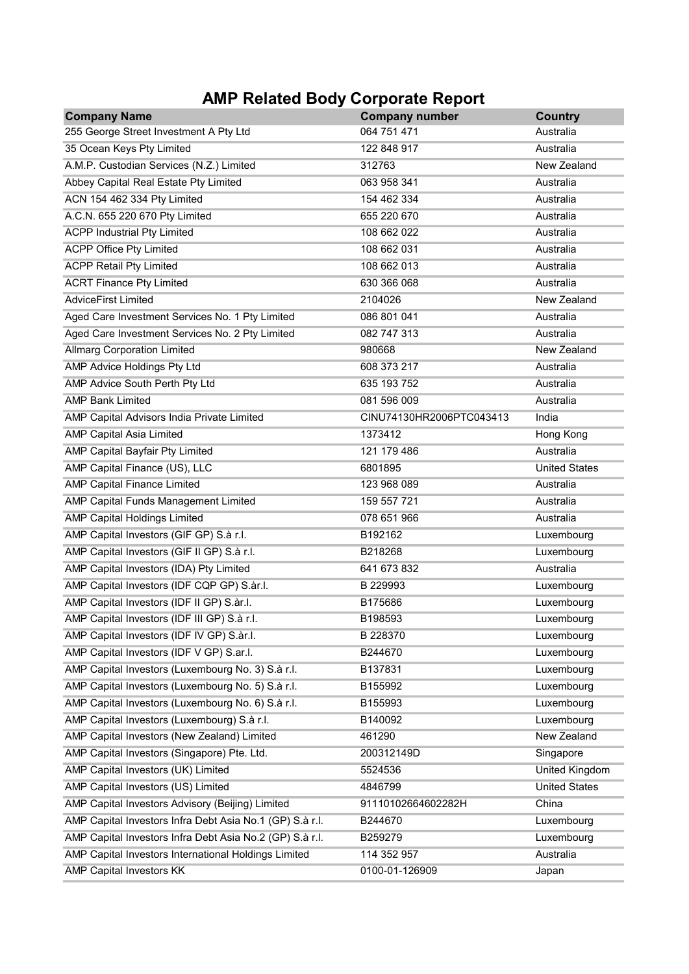# AMP Related Body Corporate Report

| <b>Company Name</b>                                      | <b>Company number</b>    | <b>Country</b>        |
|----------------------------------------------------------|--------------------------|-----------------------|
| 255 George Street Investment A Pty Ltd                   | 064 751 471              | Australia             |
| 35 Ocean Keys Pty Limited                                | 122 848 917              | Australia             |
| A.M.P. Custodian Services (N.Z.) Limited                 | 312763                   | New Zealand           |
| Abbey Capital Real Estate Pty Limited                    | 063 958 341              | Australia             |
| ACN 154 462 334 Pty Limited                              | 154 462 334              | Australia             |
| A.C.N. 655 220 670 Pty Limited                           | 655 220 670              | Australia             |
| <b>ACPP Industrial Pty Limited</b>                       | 108 662 022              | Australia             |
| <b>ACPP Office Pty Limited</b>                           | 108 662 031              | Australia             |
| <b>ACPP Retail Pty Limited</b>                           | 108 662 013              | Australia             |
| <b>ACRT Finance Pty Limited</b>                          | 630 366 068              | Australia             |
| <b>AdviceFirst Limited</b>                               | 2104026                  | New Zealand           |
| Aged Care Investment Services No. 1 Pty Limited          | 086 801 041              | Australia             |
| Aged Care Investment Services No. 2 Pty Limited          | 082 747 313              | Australia             |
| <b>Allmarg Corporation Limited</b>                       | 980668                   | New Zealand           |
| AMP Advice Holdings Pty Ltd                              | 608 373 217              | Australia             |
| AMP Advice South Perth Pty Ltd                           | 635 193 752              | Australia             |
| <b>AMP Bank Limited</b>                                  | 081 596 009              | Australia             |
| AMP Capital Advisors India Private Limited               | CINU74130HR2006PTC043413 | India                 |
| <b>AMP Capital Asia Limited</b>                          | 1373412                  | Hong Kong             |
| AMP Capital Bayfair Pty Limited                          | 121 179 486              | Australia             |
| AMP Capital Finance (US), LLC                            | 6801895                  | <b>United States</b>  |
| <b>AMP Capital Finance Limited</b>                       | 123 968 089              | Australia             |
| AMP Capital Funds Management Limited                     | 159 557 721              | Australia             |
| <b>AMP Capital Holdings Limited</b>                      | 078 651 966              | Australia             |
| AMP Capital Investors (GIF GP) S.à r.l.                  | B192162                  | Luxembourg            |
| AMP Capital Investors (GIF II GP) S.à r.l.               | B218268                  | Luxembourg            |
| AMP Capital Investors (IDA) Pty Limited                  | 641 673 832              | Australia             |
| AMP Capital Investors (IDF CQP GP) S.àr.I.               | B 229993                 | Luxembourg            |
| AMP Capital Investors (IDF II GP) S.àr.I.                | B175686                  | Luxembourg            |
| AMP Capital Investors (IDF III GP) S.à r.l.              | B198593                  | Luxembourg            |
| AMP Capital Investors (IDF IV GP) S.àr.I.                | B 228370                 | Luxembourg            |
| AMP Capital Investors (IDF V GP) S.ar.I.                 | B244670                  | Luxembourg            |
| AMP Capital Investors (Luxembourg No. 3) S.à r.l.        | B137831                  | Luxembourg            |
| AMP Capital Investors (Luxembourg No. 5) S.à r.l.        | B155992                  | Luxembourg            |
| AMP Capital Investors (Luxembourg No. 6) S.à r.l.        | B155993                  | Luxembourg            |
| AMP Capital Investors (Luxembourg) S.à r.l.              | B140092                  | Luxembourg            |
| AMP Capital Investors (New Zealand) Limited              | 461290                   | <b>New Zealand</b>    |
| AMP Capital Investors (Singapore) Pte. Ltd.              | 200312149D               | Singapore             |
| AMP Capital Investors (UK) Limited                       | 5524536                  | <b>United Kingdom</b> |
| AMP Capital Investors (US) Limited                       | 4846799                  | <b>United States</b>  |
| AMP Capital Investors Advisory (Beijing) Limited         | 91110102664602282H       | China                 |
| AMP Capital Investors Infra Debt Asia No.1 (GP) S.à r.l. | B244670                  | Luxembourg            |
| AMP Capital Investors Infra Debt Asia No.2 (GP) S.à r.l. | B259279                  | Luxembourg            |
| AMP Capital Investors International Holdings Limited     | 114 352 957              | Australia             |
| <b>AMP Capital Investors KK</b>                          | 0100-01-126909           | Japan                 |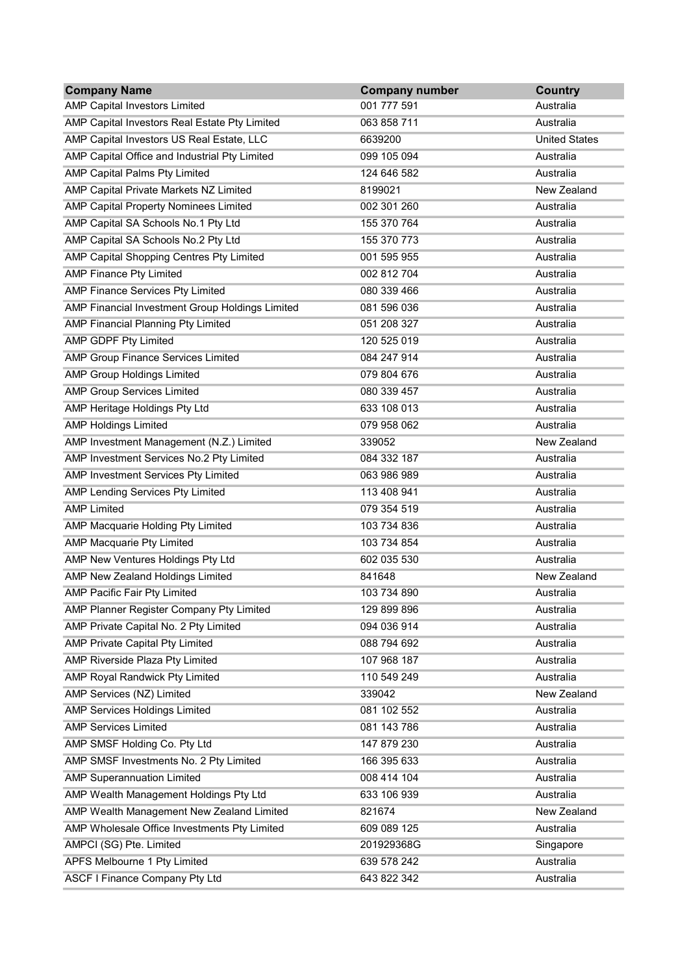| <b>Company Name</b>                             | <b>Company number</b> | <b>Country</b>       |
|-------------------------------------------------|-----------------------|----------------------|
| <b>AMP Capital Investors Limited</b>            | 001 777 591           | Australia            |
| AMP Capital Investors Real Estate Pty Limited   | 063 858 711           | Australia            |
| AMP Capital Investors US Real Estate, LLC       | 6639200               | <b>United States</b> |
| AMP Capital Office and Industrial Pty Limited   | 099 105 094           | Australia            |
| <b>AMP Capital Palms Pty Limited</b>            | 124 646 582           | Australia            |
| AMP Capital Private Markets NZ Limited          | 8199021               | New Zealand          |
| <b>AMP Capital Property Nominees Limited</b>    | 002 301 260           | Australia            |
| AMP Capital SA Schools No.1 Pty Ltd             | 155 370 764           | Australia            |
| AMP Capital SA Schools No.2 Pty Ltd             | 155 370 773           | Australia            |
| AMP Capital Shopping Centres Pty Limited        | 001 595 955           | Australia            |
| <b>AMP Finance Pty Limited</b>                  | 002 812 704           | Australia            |
| AMP Finance Services Pty Limited                | 080 339 466           | Australia            |
| AMP Financial Investment Group Holdings Limited | 081 596 036           | Australia            |
| AMP Financial Planning Pty Limited              | 051 208 327           | Australia            |
| AMP GDPF Pty Limited                            | 120 525 019           | Australia            |
| AMP Group Finance Services Limited              | 084 247 914           | Australia            |
| <b>AMP Group Holdings Limited</b>               | 079 804 676           | Australia            |
| <b>AMP Group Services Limited</b>               | 080 339 457           | Australia            |
| AMP Heritage Holdings Pty Ltd                   | 633 108 013           | Australia            |
| <b>AMP Holdings Limited</b>                     | 079 958 062           | Australia            |
| AMP Investment Management (N.Z.) Limited        | 339052                | New Zealand          |
| AMP Investment Services No.2 Pty Limited        | 084 332 187           | Australia            |
| <b>AMP Investment Services Pty Limited</b>      | 063 986 989           | Australia            |
| AMP Lending Services Pty Limited                | 113 408 941           | Australia            |
| <b>AMP Limited</b>                              | 079 354 519           | Australia            |
| AMP Macquarie Holding Pty Limited               | 103 734 836           | Australia            |
| AMP Macquarie Pty Limited                       | 103 734 854           | Australia            |
| AMP New Ventures Holdings Pty Ltd               | 602 035 530           | Australia            |
| AMP New Zealand Holdings Limited                | 841648                | <b>New Zealand</b>   |
| AMP Pacific Fair Pty Limited                    | 103 734 890           | Australia            |
| AMP Planner Register Company Pty Limited        | 129 899 896           | Australia            |
| AMP Private Capital No. 2 Pty Limited           | 094 036 914           | Australia            |
| <b>AMP Private Capital Pty Limited</b>          | 088 794 692           | Australia            |
| <b>AMP Riverside Plaza Pty Limited</b>          | 107 968 187           | Australia            |
| AMP Royal Randwick Pty Limited                  | 110 549 249           | Australia            |
| <b>AMP Services (NZ) Limited</b>                | 339042                | New Zealand          |
| <b>AMP Services Holdings Limited</b>            | 081 102 552           | Australia            |
| <b>AMP Services Limited</b>                     | 081 143 786           | Australia            |
| AMP SMSF Holding Co. Pty Ltd                    | 147 879 230           | Australia            |
| AMP SMSF Investments No. 2 Pty Limited          | 166 395 633           | Australia            |
| <b>AMP Superannuation Limited</b>               | 008 414 104           | Australia            |
| AMP Wealth Management Holdings Pty Ltd          | 633 106 939           | Australia            |
| AMP Wealth Management New Zealand Limited       | 821674                | <b>New Zealand</b>   |
| AMP Wholesale Office Investments Pty Limited    | 609 089 125           | Australia            |
| AMPCI (SG) Pte. Limited                         | 201929368G            | Singapore            |
| APFS Melbourne 1 Pty Limited                    | 639 578 242           | Australia            |
| <b>ASCF I Finance Company Pty Ltd</b>           | 643 822 342           | Australia            |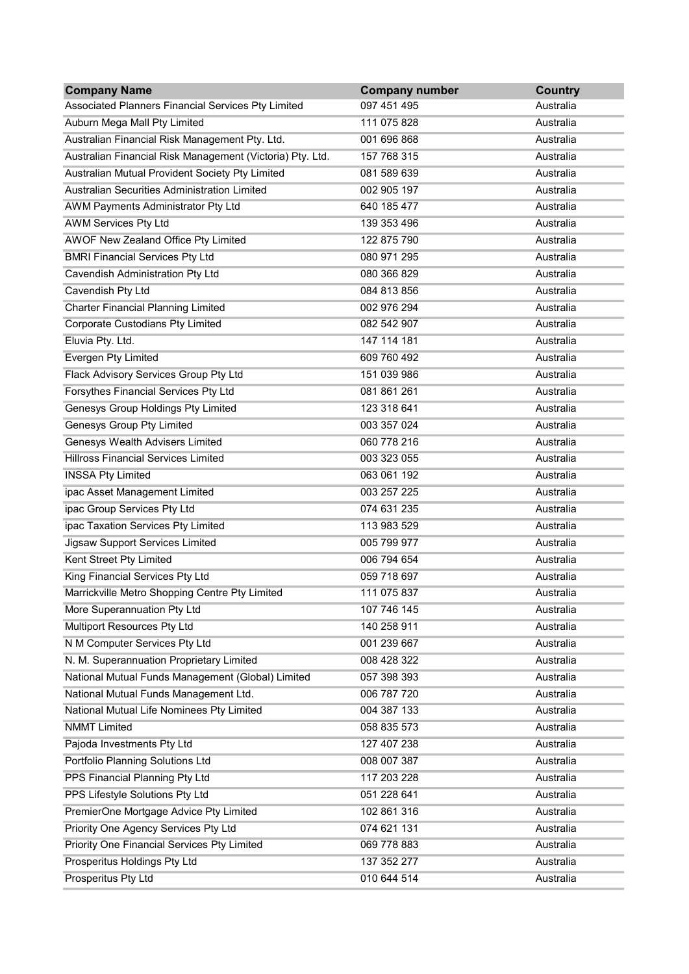| <b>Company Name</b>                                       | <b>Company number</b> | <b>Country</b> |
|-----------------------------------------------------------|-----------------------|----------------|
| Associated Planners Financial Services Pty Limited        | 097 451 495           | Australia      |
| Auburn Mega Mall Pty Limited                              | 111 075 828           | Australia      |
| Australian Financial Risk Management Pty. Ltd.            | 001 696 868           | Australia      |
| Australian Financial Risk Management (Victoria) Pty. Ltd. | 157 768 315           | Australia      |
| Australian Mutual Provident Society Pty Limited           | 081 589 639           | Australia      |
| Australian Securities Administration Limited              | 002 905 197           | Australia      |
| <b>AWM Payments Administrator Pty Ltd</b>                 | 640 185 477           | Australia      |
| <b>AWM Services Pty Ltd</b>                               | 139 353 496           | Australia      |
| AWOF New Zealand Office Pty Limited                       | 122 875 790           | Australia      |
| <b>BMRI Financial Services Pty Ltd</b>                    | 080 971 295           | Australia      |
| <b>Cavendish Administration Pty Ltd</b>                   | 080 366 829           | Australia      |
| Cavendish Pty Ltd                                         | 084 813 856           | Australia      |
| <b>Charter Financial Planning Limited</b>                 | 002 976 294           | Australia      |
| Corporate Custodians Pty Limited                          | 082 542 907           | Australia      |
| Eluvia Pty. Ltd.                                          | 147 114 181           | Australia      |
| <b>Evergen Pty Limited</b>                                | 609 760 492           | Australia      |
| Flack Advisory Services Group Pty Ltd                     | 151 039 986           | Australia      |
| Forsythes Financial Services Pty Ltd                      | 081 861 261           | Australia      |
| Genesys Group Holdings Pty Limited                        | 123 318 641           | Australia      |
| <b>Genesys Group Pty Limited</b>                          | 003 357 024           | Australia      |
| Genesys Wealth Advisers Limited                           | 060 778 216           | Australia      |
| <b>Hillross Financial Services Limited</b>                | 003 323 055           | Australia      |
| <b>INSSA Pty Limited</b>                                  | 063 061 192           | Australia      |
| ipac Asset Management Limited                             | 003 257 225           | Australia      |
| ipac Group Services Pty Ltd                               | 074 631 235           | Australia      |
| ipac Taxation Services Pty Limited                        | 113 983 529           | Australia      |
| Jigsaw Support Services Limited                           | 005 799 977           | Australia      |
| Kent Street Pty Limited                                   | 006 794 654           | Australia      |
| King Financial Services Pty Ltd                           | 059 718 697           | Australia      |
| Marrickville Metro Shopping Centre Pty Limited            | 111 075 837           | Australia      |
| More Superannuation Pty Ltd                               | 107 746 145           | Australia      |
| Multiport Resources Pty Ltd                               | 140 258 911           | Australia      |
| N M Computer Services Pty Ltd                             | 001 239 667           | Australia      |
| N. M. Superannuation Proprietary Limited                  | 008 428 322           | Australia      |
| National Mutual Funds Management (Global) Limited         | 057 398 393           | Australia      |
| National Mutual Funds Management Ltd.                     | 006 787 720           | Australia      |
| National Mutual Life Nominees Pty Limited                 | 004 387 133           | Australia      |
| <b>NMMT Limited</b>                                       | 058 835 573           | Australia      |
| Pajoda Investments Pty Ltd                                | 127 407 238           | Australia      |
| Portfolio Planning Solutions Ltd                          | 008 007 387           | Australia      |
| PPS Financial Planning Pty Ltd                            | 117 203 228           | Australia      |
| PPS Lifestyle Solutions Pty Ltd                           | 051 228 641           | Australia      |
| PremierOne Mortgage Advice Pty Limited                    | 102 861 316           | Australia      |
| Priority One Agency Services Pty Ltd                      | 074 621 131           | Australia      |
| Priority One Financial Services Pty Limited               | 069 778 883           | Australia      |
| Prosperitus Holdings Pty Ltd                              | 137 352 277           | Australia      |
| Prosperitus Pty Ltd                                       | 010 644 514           | Australia      |